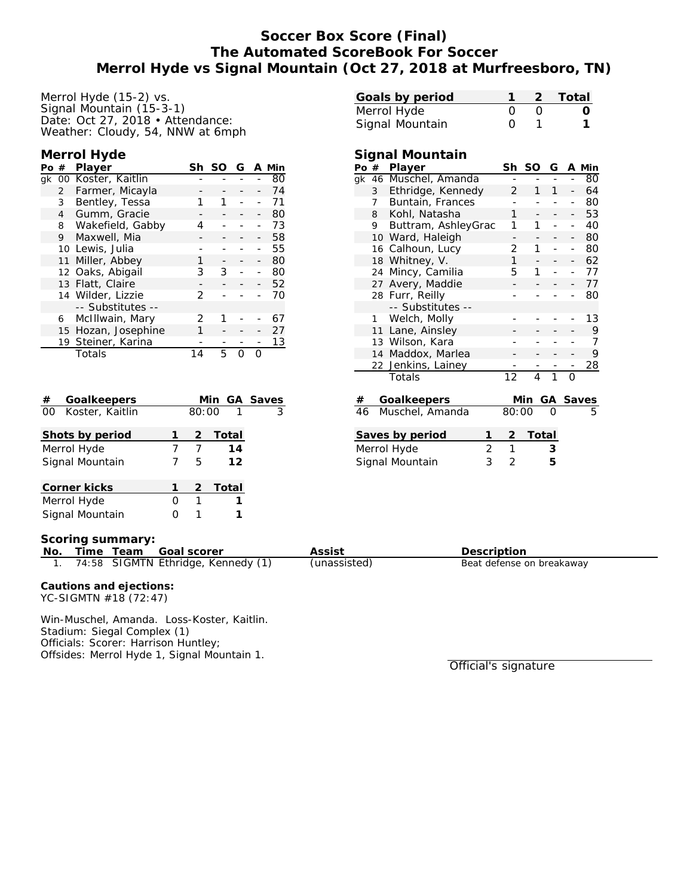# **Soccer Box Score (Final) The Automated ScoreBook For Soccer Merrol Hyde vs Signal Mountain (Oct 27, 2018 at Murfreesboro, TN)**

Merrol Hyde (15-2) vs. Signal Mountain (15-3-1) Date: Oct 27, 2018 • Attendance: Weather: Cloudy, 54, NNW at 6mph

#### **Merrol Hyde**

| Po # |                 | Player                | Sh | SO | G | A Min |
|------|-----------------|-----------------------|----|----|---|-------|
|      |                 | gk 00 Koster, Kaitlin |    |    |   | 80    |
|      | 2               | Farmer, Micayla       |    |    |   | 74    |
|      | 3               | Bentley, Tessa        | 1  | 1  |   | 71    |
|      | 4               | Gumm, Gracie          |    |    |   | 80    |
|      | 8               | Wakefield, Gabby      | 4  |    |   | 73    |
|      | 9               | Maxwell, Mia          |    |    |   | 58    |
|      |                 | 10 Lewis, Julia       |    |    |   | 55    |
|      | 11              | Miller, Abbey         | 1  |    |   | 80    |
|      |                 | 12 Oaks, Abigail      | 3  | 3  |   | 80    |
|      |                 | 13 Flatt, Claire      |    |    |   | 52    |
|      |                 | 14 Wilder, Lizzie     | 2  |    |   | 70    |
|      |                 | -- Substitutes --     |    |    |   |       |
|      | 6               | McIllwain, Mary       | 2  | 1  |   | 67    |
|      | 15 <sup>2</sup> | Hozan, Josephine      |    |    |   | 27    |
|      |                 | 19 Steiner, Karina    |    |    |   | 13    |
|      |                 | Totals                | 14 | 5  |   |       |

| $^{\#}$ | Goalkeepers        |  |            | Min GA Saves |  |
|---------|--------------------|--|------------|--------------|--|
|         | 00 Koster, Kaitlin |  | 3          |              |  |
|         | Shots by period    |  | $\sqrt{2}$ | Total        |  |
|         | Merrol Hyde        |  |            | 14           |  |
|         | Signal Mountain    |  | 5.         | 12           |  |
|         | Corner kicks       |  |            | 2 Total      |  |
|         | Merrol Hyde        |  | 1          |              |  |
|         | Signal Mountain    |  |            |              |  |

| Goals by period |                  | 2 Total |
|-----------------|------------------|---------|
| Merrol Hyde     |                  |         |
| Signal Mountain | $\left( \right)$ |         |

| Signal Mountain |                 |                     |    |     |   |   |          |
|-----------------|-----------------|---------------------|----|-----|---|---|----------|
|                 | Po #            | Player              | Sh | SO. |   |   | G A Min  |
| ak              |                 | 46 Muschel, Amanda  |    |     |   |   | 80       |
|                 | 3               | Ethridge, Kennedy   | 2  | 1   | 1 |   | 64       |
|                 |                 | 7 Buntain, Frances  |    |     |   |   | 80       |
|                 |                 | 8 Kohl, Natasha     | 1  |     |   |   | 53       |
|                 | 9.              | Buttram, AshleyGrac | 1  | 1   |   |   | 40       |
|                 | 10              | Ward, Haleigh       |    |     |   |   | 80       |
|                 | 16              | Calhoun, Lucy       | 2  | 1   |   |   | 80       |
|                 |                 | 18 Whitney, V.      | 1  |     |   |   | 62       |
|                 | 24              | Mincy, Camilia      | 5  |     |   |   | 77       |
|                 | 27              | Avery, Maddie       |    |     |   |   | 77       |
|                 | 28 Furr, Reilly |                     |    |     |   |   | 80       |
|                 |                 | -- Substitutes --   |    |     |   |   |          |
|                 | 1               | Welch, Molly        |    |     |   |   | 13       |
|                 | 11              | Lane, Ainsley       |    |     |   |   | 9        |
|                 |                 | 13 Wilson, Kara     |    |     |   |   |          |
|                 | 14              | Maddox, Marlea      |    |     |   |   | 9        |
|                 |                 | 22 Jenkins, Lainey  |    |     |   |   | 28       |
|                 |                 | Totals              | 12 | 4   |   | Ω |          |
|                 |                 |                     |    |     |   |   |          |
| #               |                 | Goalkeepers         |    | Min |   |   | GA Saves |

| 46 Muschel, Amanda |   | 80:00 |         | 5 |
|--------------------|---|-------|---------|---|
| Saves by period    |   |       | 2 Total |   |
| Merrol Hyde        |   |       | ٠,      |   |
| Signal Mountain    | २ |       | ᡃ       |   |

## **Scoring summary:**

|     | <b>JULITILY SUITILIAL Y.</b>                     |                                    |              |                           |  |  |  |  |  |  |
|-----|--------------------------------------------------|------------------------------------|--------------|---------------------------|--|--|--|--|--|--|
| No. | Time Team                                        | - Goal scorer                      | Assist       | Description               |  |  |  |  |  |  |
|     |                                                  | 74:58 SIGMTN Ethridge, Kennedy (1) | (unassisted) | Beat defense on breakaway |  |  |  |  |  |  |
|     | Cautions and ejections:<br>YC-SIGMTN #18 (72:47) |                                    |              |                           |  |  |  |  |  |  |

Win-Muschel, Amanda. Loss-Koster, Kaitlin. Stadium: Siegal Complex (1) Officials: Scorer: Harrison Huntley;

Offsides: Merrol Hyde 1, Signal Mountain 1.

Official's signature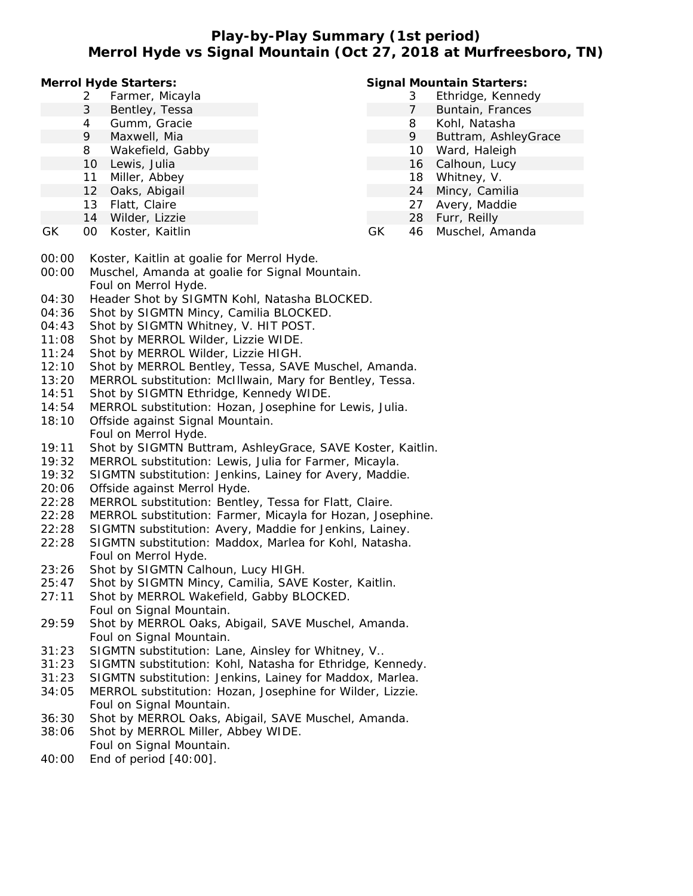# **Play-by-Play Summary (1st period) Merrol Hyde vs Signal Mountain (Oct 27, 2018 at Murfreesboro, TN)**

**Merrol Hyde Starters:**

- 2 Farmer, Micayla
- 3 Bentley, Tessa
- 4 Gumm, Gracie
- 9 Maxwell, Mia
- 8 Wakefield, Gabby
- 10 Lewis, Julia
- 11 Miller, Abbey
- 12 Oaks, Abigail
- 13 Flatt, Claire
- 
- 14 Wilder, Lizzie
- GK 00 Koster, Kaitlin

## **Signal Mountain Starters:**

- 3 Ethridge, Kennedy
- 7 Buntain, Frances
- 8 Kohl, Natasha
- 9 Buttram, AshleyGrace
- 10 Ward, Haleigh
- 16 Calhoun, Lucy
- 18 Whitney, V.
- 24 Mincy, Camilia
- 27 Avery, Maddie
- 28 Furr, Reilly
- GK 46 Muschel, Amanda
- 00:00 Koster, Kaitlin at goalie for Merrol Hyde.
- 00:00 Muschel, Amanda at goalie for Signal Mountain. Foul on Merrol Hyde.
- 04:30 Header Shot by SIGMTN Kohl, Natasha BLOCKED.
- 04:36 Shot by SIGMTN Mincy, Camilia BLOCKED.
- 04:43 Shot by SIGMTN Whitney, V. HIT POST.
- 11:08 Shot by MERROL Wilder, Lizzie WIDE.
- 11:24 Shot by MERROL Wilder, Lizzie HIGH.
- 12:10 Shot by MERROL Bentley, Tessa, SAVE Muschel, Amanda.
- 13:20 MERROL substitution: McIllwain, Mary for Bentley, Tessa.
- 14:51 Shot by SIGMTN Ethridge, Kennedy WIDE.
- 14:54 MERROL substitution: Hozan, Josephine for Lewis, Julia.
- 18:10 Offside against Signal Mountain. Foul on Merrol Hyde.
- 19:11 Shot by SIGMTN Buttram, AshleyGrace, SAVE Koster, Kaitlin.
- 19:32 MERROL substitution: Lewis, Julia for Farmer, Micayla.
- 19:32 SIGMTN substitution: Jenkins, Lainey for Avery, Maddie.
- 20:06 Offside against Merrol Hyde.
- 22:28 MERROL substitution: Bentley, Tessa for Flatt, Claire.
- 22:28 MERROL substitution: Farmer, Micayla for Hozan, Josephine.
- 22:28 SIGMTN substitution: Avery, Maddie for Jenkins, Lainey.
- 22:28 SIGMTN substitution: Maddox, Marlea for Kohl, Natasha. Foul on Merrol Hyde.
- 23:26 Shot by SIGMTN Calhoun, Lucy HIGH.
- 25:47 Shot by SIGMTN Mincy, Camilia, SAVE Koster, Kaitlin.
- 27:11 Shot by MERROL Wakefield, Gabby BLOCKED. Foul on Signal Mountain.
- 29:59 Shot by MERROL Oaks, Abigail, SAVE Muschel, Amanda. Foul on Signal Mountain.
- 31:23 SIGMTN substitution: Lane, Ainsley for Whitney, V..
- 31:23 SIGMTN substitution: Kohl, Natasha for Ethridge, Kennedy.
- 31:23 SIGMTN substitution: Jenkins, Lainey for Maddox, Marlea. 34:05 MERROL substitution: Hozan, Josephine for Wilder, Lizzie.
- Foul on Signal Mountain.
- 36:30 Shot by MERROL Oaks, Abigail, SAVE Muschel, Amanda.
- 38:06 Shot by MERROL Miller, Abbey WIDE. Foul on Signal Mountain.
- 40:00 End of period [40:00].